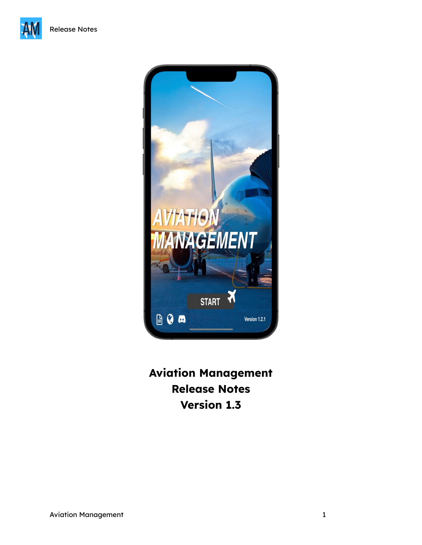



**Aviation Management Release Notes Version 1.3**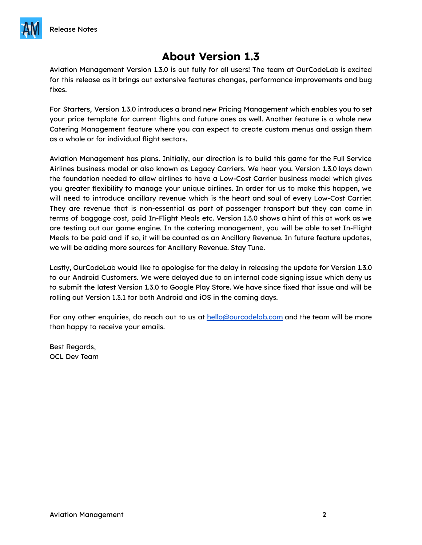

# **About Version 1.3**

Aviation Management Version 1.3.0 is out fully for all users! The team at OurCodeLab is excited for this release as it brings out extensive features changes, performance improvements and bug fixes.

For Starters, Version 1.3.0 introduces a brand new Pricing Management which enables you to set your price template for current flights and future ones as well. Another feature is a whole new Catering Management feature where you can expect to create custom menus and assign them as a whole or for individual flight sectors.

Aviation Management has plans. Initially, our direction is to build this game for the Full Service Airlines business model or also known as Legacy Carriers. We hear you. Version 1.3.0 lays down the foundation needed to allow airlines to have a Low-Cost Carrier business model which gives you greater flexibility to manage your unique airlines. In order for us to make this happen, we will need to introduce ancillary revenue which is the heart and soul of every Low-Cost Carrier. They are revenue that is non-essential as part of passenger transport but they can come in terms of baggage cost, paid In-Flight Meals etc. Version 1.3.0 shows a hint of this at work as we are testing out our game engine. In the catering management, you will be able to set In-Flight Meals to be paid and if so, it will be counted as an Ancillary Revenue. In future feature updates, we will be adding more sources for Ancillary Revenue. Stay Tune.

Lastly, OurCodeLab would like to apologise for the delay in releasing the update for Version 1.3.0 to our Android Customers. We were delayed due to an internal code signing issue which deny us to submit the latest Version 1.3.0 to Google Play Store. We have since fixed that issue and will be rolling out Version 1.3.1 for both Android and iOS in the coming days.

For any other enquiries, do reach out to us at [hello@ourcodelab.com](mailto:hello@ourcodelab.com) and the team will be more than happy to receive your emails.

Best Regards, OCL Dev Team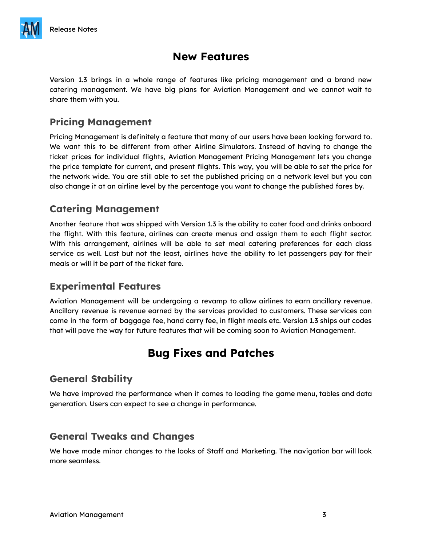

# **New Features**

Version 1.3 brings in a whole range of features like pricing management and a brand new catering management. We have big plans for Aviation Management and we cannot wait to share them with you.

### **Pricing Management**

Pricing Management is definitely a feature that many of our users have been looking forward to. We want this to be different from other Airline Simulators. Instead of having to change the ticket prices for individual flights, Aviation Management Pricing Management lets you change the price template for current, and present flights. This way, you will be able to set the price for the network wide. You are still able to set the published pricing on a network level but you can also change it at an airline level by the percentage you want to change the published fares by.

### **Catering Management**

Another feature that was shipped with Version 1.3 is the ability to cater food and drinks onboard the flight. With this feature, airlines can create menus and assign them to each flight sector. With this arrangement, airlines will be able to set meal catering preferences for each class service as well. Last but not the least, airlines have the ability to let passengers pay for their meals or will it be part of the ticket fare.

### **Experimental Features**

Aviation Management will be undergoing a revamp to allow airlines to earn ancillary revenue. Ancillary revenue is revenue earned by the services provided to customers. These services can come in the form of baggage fee, hand carry fee, in flight meals etc. Version 1.3 ships out codes that will pave the way for future features that will be coming soon to Aviation Management.

# **Bug Fixes and Patches**

### **General Stability**

We have improved the performance when it comes to loading the game menu, tables and data generation. Users can expect to see a change in performance.

### **General Tweaks and Changes**

We have made minor changes to the looks of Staff and Marketing. The navigation bar will look more seamless.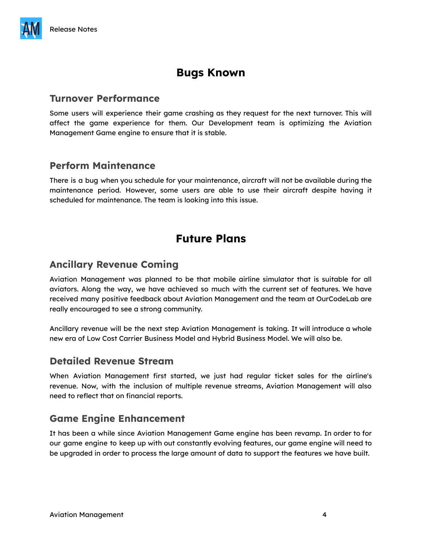# **Bugs Known**

#### **Turnover Performance**

Some users will experience their game crashing as they request for the next turnover. This will affect the game experience for them. Our Development team is optimizing the Aviation Management Game engine to ensure that it is stable.

#### **Perform Maintenance**

There is a bug when you schedule for your maintenance, aircraft will not be available during the maintenance period. However, some users are able to use their aircraft despite having it scheduled for maintenance. The team is looking into this issue.

## **Future Plans**

#### **Ancillary Revenue Coming**

Aviation Management was planned to be that mobile airline simulator that is suitable for all aviators. Along the way, we have achieved so much with the current set of features. We have received many positive feedback about Aviation Management and the team at OurCodeLab are really encouraged to see a strong community.

Ancillary revenue will be the next step Aviation Management is taking. It will introduce a whole new era of Low Cost Carrier Business Model and Hybrid Business Model. We will also be.

#### **Detailed Revenue Stream**

When Aviation Management first started, we just had regular ticket sales for the airline's revenue. Now, with the inclusion of multiple revenue streams, Aviation Management will also need to reflect that on financial reports.

#### **Game Engine Enhancement**

It has been a while since Aviation Management Game engine has been revamp. In order to for our game engine to keep up with out constantly evolving features, our game engine will need to be upgraded in order to process the large amount of data to support the features we have built.